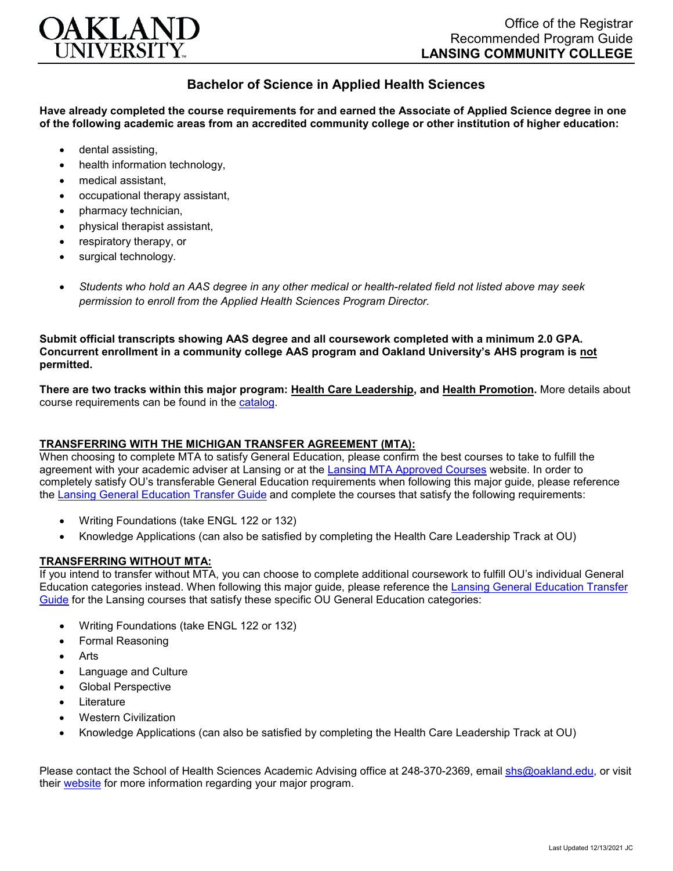

## **Bachelor of Science in Applied Health Sciences**

**Have already completed the course requirements for and earned the Associate of Applied Science degree in one of the following academic areas from an accredited community college or other institution of higher education:**

- dental assisting,
- health information technology.
- medical assistant,
- occupational therapy assistant,
- pharmacy technician,
- physical therapist assistant,
- respiratory therapy, or
- surgical technology.
- *Students who hold an AAS degree in any other medical or health-related field not listed above may seek permission to enroll from the Applied Health Sciences Program Director.*

**Submit official transcripts showing AAS degree and all coursework completed with a minimum 2.0 GPA. Concurrent enrollment in a community college AAS program and Oakland University's AHS program is not permitted.**

**There are two tracks within this major program: Health Care Leadership, and Health Promotion.** More details about course requirements can be found in the [catalog.](http://catalog.oakland.edu/preview_program.php?catoid=53&poid=8649)

## **TRANSFERRING WITH THE MICHIGAN TRANSFER AGREEMENT (MTA):**

When choosing to complete MTA to satisfy General Education, please confirm the best courses to take to fulfill the agreement with your academic adviser at Lansing or at the [Lansing MTA Approved Courses](https://www.lcc.edu/academics/transfer/mta.html) website. In order to completely satisfy OU's transferable General Education requirements when following this major guide, please reference the [Lansing General Education Transfer Guide](https://www.oakland.edu/Assets/Oakland/program-guides/lansing-community-college/university-general-education-requirements/Lansing%20Gen%20Ed.pdf) and complete the courses that satisfy the following requirements:

- Writing Foundations (take ENGL 122 or 132)
- Knowledge Applications (can also be satisfied by completing the Health Care Leadership Track at OU)

## **TRANSFERRING WITHOUT MTA:**

If you intend to transfer without MTA, you can choose to complete additional coursework to fulfill OU's individual General Education categories instead. When following this major guide, please reference the [Lansing General Education Transfer](https://www.oakland.edu/Assets/Oakland/program-guides/lansing-community-college/university-general-education-requirements/Lansing%20Gen%20Ed.pdf)  [Guide](https://www.oakland.edu/Assets/Oakland/program-guides/lansing-community-college/university-general-education-requirements/Lansing%20Gen%20Ed.pdf) for the Lansing courses that satisfy these specific OU General Education categories:

- Writing Foundations (take ENGL 122 or 132)
- Formal Reasoning
- Arts
- Language and Culture
- Global Perspective
- **Literature**
- Western Civilization
- Knowledge Applications (can also be satisfied by completing the Health Care Leadership Track at OU)

Please contact the School of Health Sciences Academic Advising office at 248-370-2369, email [shs@oakland.edu,](mailto:shs@oakland.edu) or visit their [website](http://www.oakland.edu/shs/advising) for more information regarding your major program.